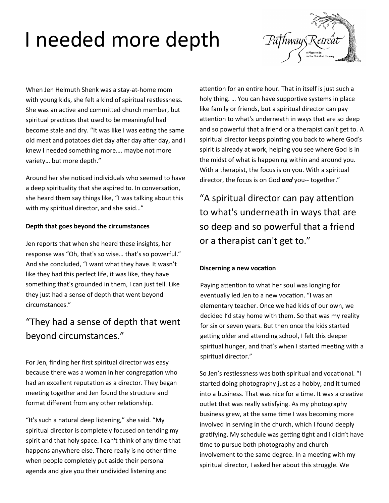# I needed more depth



When Jen Helmuth Shenk was a stay-at-home mom with young kids, she felt a kind of spiritual restlessness. She was an active and committed church member, but spiritual practices that used to be meaningful had become stale and dry. "It was like I was eating the same old meat and potatoes diet day after day after day, and I knew I needed something more…. maybe not more variety… but more depth."

Around her she noticed individuals who seemed to have a deep spirituality that she aspired to. In conversation, she heard them say things like, "I was talking about this with my spiritual director, and she said…"

#### **Depth that goes beyond the circumstances**

Jen reports that when she heard these insights, her response was "Oh, that's so wise… that's so powerful." And she concluded, "I want what they have. It wasn't like they had this perfect life, it was like, they have something that's grounded in them, I can just tell. Like they just had a sense of depth that went beyond circumstances."

### "They had a sense of depth that went beyond circumstances."

For Jen, finding her first spiritual director was easy because there was a woman in her congregation who had an excellent reputation as a director. They began meeting together and Jen found the structure and format different from any other relationship.

"It's such a natural deep listening," she said. "My spiritual director is completely focused on tending my spirit and that holy space. I can't think of any time that happens anywhere else. There really is no other time when people completely put aside their personal agenda and give you their undivided listening and

attention for an entire hour. That in itself is just such a holy thing. … You can have supportive systems in place like family or friends, but a spiritual director can pay attention to what's underneath in ways that are so deep and so powerful that a friend or a therapist can't get to. A spiritual director keeps pointing you back to where God's spirit is already at work, helping you see where God is in the midst of what is happening within and around you. With a therapist, the focus is on you. With a spiritual director, the focus is on God *and* you-- together."

"A spiritual director can pay attention to what's underneath in ways that are so deep and so powerful that a friend or a therapist can't get to."

#### **Discerning a new vocation**

Paying attention to what her soul was longing for eventually led Jen to a new vocation. "I was an elementary teacher. Once we had kids of our own, we decided I'd stay home with them. So that was my reality for six or seven years. But then once the kids started getting older and attending school, I felt this deeper spiritual hunger, and that's when I started meeting with a spiritual director."

So Jen's restlessness was both spiritual and vocational. "I started doing photography just as a hobby, and it turned into a business. That was nice for a time. It was a creative outlet that was really satisfying. As my photography business grew, at the same time I was becoming more involved in serving in the church, which I found deeply gratifying. My schedule was getting tight and I didn't have time to pursue both photography and church involvement to the same degree. In a meeting with my spiritual director, I asked her about this struggle. We